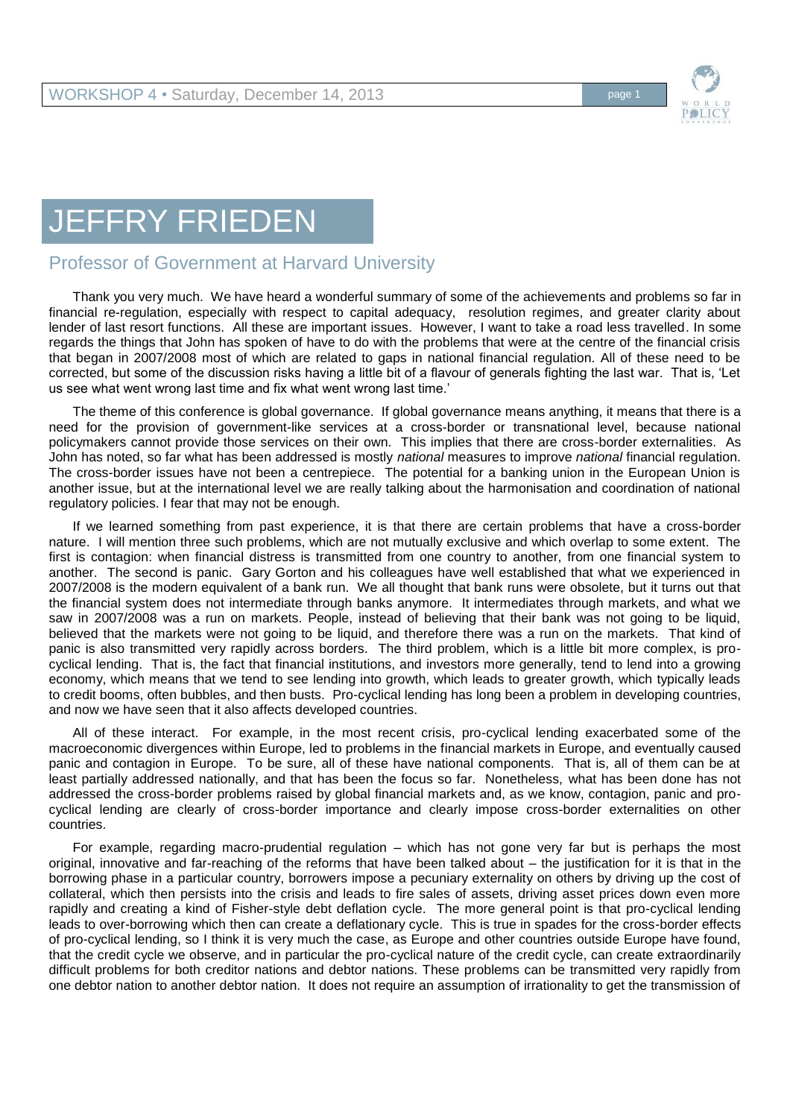

## JEFFRY FRIEDEN

## Professor of Government at Harvard University

Thank you very much. We have heard a wonderful summary of some of the achievements and problems so far in financial re-regulation, especially with respect to capital adequacy, resolution regimes, and greater clarity about lender of last resort functions. All these are important issues. However, I want to take a road less travelled. In some regards the things that John has spoken of have to do with the problems that were at the centre of the financial crisis that began in 2007/2008 most of which are related to gaps in national financial regulation. All of these need to be corrected, but some of the discussion risks having a little bit of a flavour of generals fighting the last war. That is, 'Let us see what went wrong last time and fix what went wrong last time.'

The theme of this conference is global governance. If global governance means anything, it means that there is a need for the provision of government-like services at a cross-border or transnational level, because national policymakers cannot provide those services on their own. This implies that there are cross-border externalities. As John has noted, so far what has been addressed is mostly *national* measures to improve *national* financial regulation. The cross-border issues have not been a centrepiece. The potential for a banking union in the European Union is another issue, but at the international level we are really talking about the harmonisation and coordination of national regulatory policies. I fear that may not be enough.

If we learned something from past experience, it is that there are certain problems that have a cross-border nature. I will mention three such problems, which are not mutually exclusive and which overlap to some extent. The first is contagion: when financial distress is transmitted from one country to another, from one financial system to another. The second is panic. Gary Gorton and his colleagues have well established that what we experienced in 2007/2008 is the modern equivalent of a bank run. We all thought that bank runs were obsolete, but it turns out that the financial system does not intermediate through banks anymore. It intermediates through markets, and what we saw in 2007/2008 was a run on markets. People, instead of believing that their bank was not going to be liquid, believed that the markets were not going to be liquid, and therefore there was a run on the markets. That kind of panic is also transmitted very rapidly across borders. The third problem, which is a little bit more complex, is procyclical lending. That is, the fact that financial institutions, and investors more generally, tend to lend into a growing economy, which means that we tend to see lending into growth, which leads to greater growth, which typically leads to credit booms, often bubbles, and then busts. Pro-cyclical lending has long been a problem in developing countries, and now we have seen that it also affects developed countries.

All of these interact. For example, in the most recent crisis, pro-cyclical lending exacerbated some of the macroeconomic divergences within Europe, led to problems in the financial markets in Europe, and eventually caused panic and contagion in Europe. To be sure, all of these have national components. That is, all of them can be at least partially addressed nationally, and that has been the focus so far. Nonetheless, what has been done has not addressed the cross-border problems raised by global financial markets and, as we know, contagion, panic and procyclical lending are clearly of cross-border importance and clearly impose cross-border externalities on other countries.

For example, regarding macro-prudential regulation – which has not gone very far but is perhaps the most original, innovative and far-reaching of the reforms that have been talked about – the justification for it is that in the borrowing phase in a particular country, borrowers impose a pecuniary externality on others by driving up the cost of collateral, which then persists into the crisis and leads to fire sales of assets, driving asset prices down even more rapidly and creating a kind of Fisher-style debt deflation cycle. The more general point is that pro-cyclical lending leads to over-borrowing which then can create a deflationary cycle. This is true in spades for the cross-border effects of pro-cyclical lending, so I think it is very much the case, as Europe and other countries outside Europe have found, that the credit cycle we observe, and in particular the pro-cyclical nature of the credit cycle, can create extraordinarily difficult problems for both creditor nations and debtor nations. These problems can be transmitted very rapidly from one debtor nation to another debtor nation. It does not require an assumption of irrationality to get the transmission of